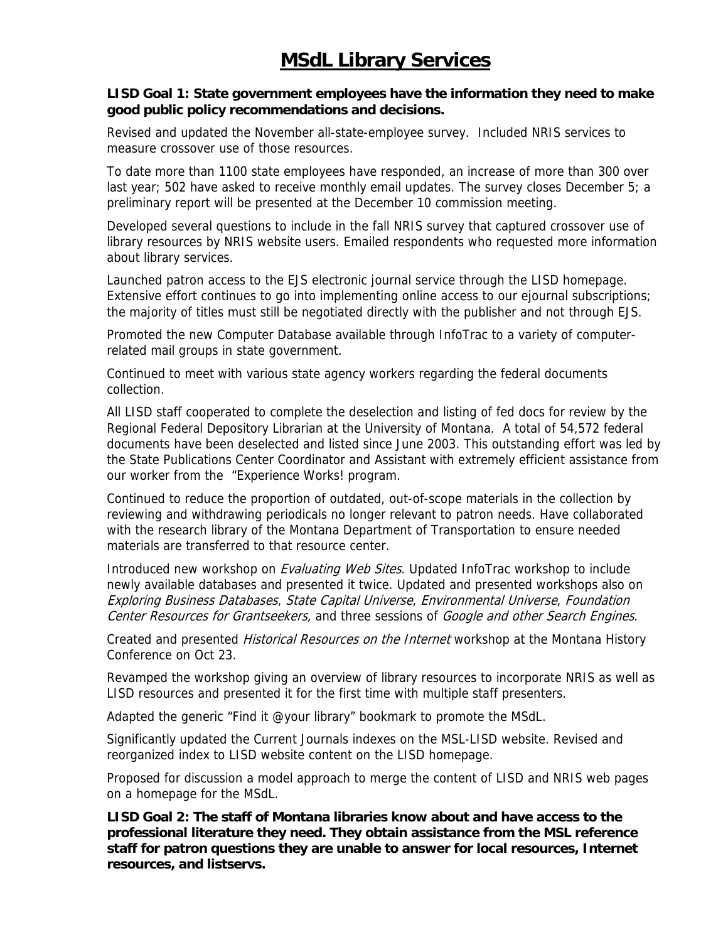## **LISD Goal 1: State government employees have the information they need to make good public policy recommendations and decisions.**

Revised and updated the November all-state-employee survey. Included NRIS services to measure crossover use of those resources.

To date more than 1100 state employees have responded, an increase of more than 300 over last year; 502 have asked to receive monthly email updates. The survey closes December 5; a preliminary report will be presented at the December 10 commission meeting.

Developed several questions to include in the fall NRIS survey that captured crossover use of library resources by NRIS website users. Emailed respondents who requested more information about library services.

Launched patron access to the EJS electronic journal service through the LISD homepage. Extensive effort continues to go into implementing online access to our ejournal subscriptions; the majority of titles must still be negotiated directly with the publisher and not through EJS.

Promoted the new Computer Database available through InfoTrac to a variety of computerrelated mail groups in state government.

Continued to meet with various state agency workers regarding the federal documents collection.

All LISD staff cooperated to complete the deselection and listing of fed docs for review by the Regional Federal Depository Librarian at the University of Montana. A total of 54,572 federal documents have been deselected and listed since June 2003. This outstanding effort was led by the State Publications Center Coordinator and Assistant with extremely efficient assistance from our worker from the "Experience Works! program.

Continued to reduce the proportion of outdated, out-of-scope materials in the collection by reviewing and withdrawing periodicals no longer relevant to patron needs. Have collaborated with the research library of the Montana Department of Transportation to ensure needed materials are transferred to that resource center.

Introduced new workshop on *Evaluating Web Sites*. Updated InfoTrac workshop to include newly available databases and presented it twice. Updated and presented workshops also on Exploring Business Databases, State Capital Universe, Environmental Universe, Foundation Center Resources for Grantseekers, and three sessions of Google and other Search Engines.

Created and presented *Historical Resources on the Internet* workshop at the Montana History Conference on Oct 23.

Revamped the workshop giving an overview of library resources to incorporate NRIS as well as LISD resources and presented it for the first time with multiple staff presenters.

Adapted the generic "Find it @your library" bookmark to promote the MSdL.

Significantly updated the Current Journals indexes on the MSL-LISD website. Revised and reorganized index to LISD website content on the LISD homepage.

Proposed for discussion a model approach to merge the content of LISD and NRIS web pages on a homepage for the MSdL.

**LISD Goal 2: The staff of Montana libraries know about and have access to the professional literature they need. They obtain assistance from the MSL reference staff for patron questions they are unable to answer for local resources, Internet resources, and listservs.**